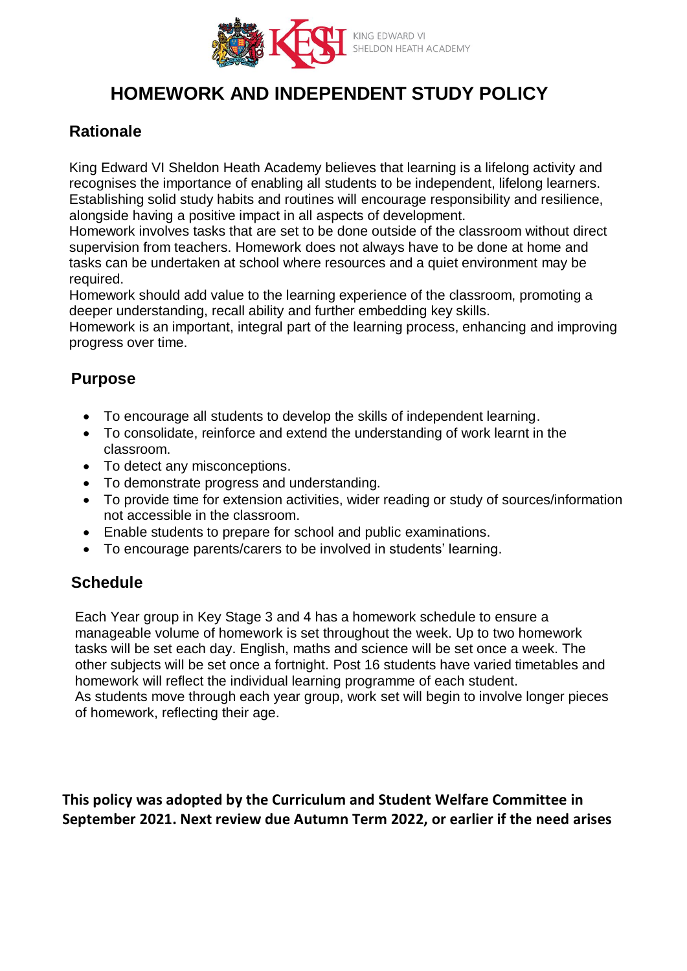

# **HOMEWORK AND INDEPENDENT STUDY POLICY**

## **Rationale**

King Edward VI Sheldon Heath Academy believes that learning is a lifelong activity and recognises the importance of enabling all students to be independent, lifelong learners. Establishing solid study habits and routines will encourage responsibility and resilience, alongside having a positive impact in all aspects of development.

Homework involves tasks that are set to be done outside of the classroom without direct supervision from teachers. Homework does not always have to be done at home and tasks can be undertaken at school where resources and a quiet environment may be required.

Homework should add value to the learning experience of the classroom, promoting a deeper understanding, recall ability and further embedding key skills.

Homework is an important, integral part of the learning process, enhancing and improving progress over time.

## **Purpose**

- To encourage all students to develop the skills of independent learning.
- To consolidate, reinforce and extend the understanding of work learnt in the classroom.
- To detect any misconceptions.
- To demonstrate progress and understanding.
- To provide time for extension activities, wider reading or study of sources/information not accessible in the classroom.
- Enable students to prepare for school and public examinations.
- To encourage parents/carers to be involved in students' learning.

### **Schedule**

Each Year group in Key Stage 3 and 4 has a homework schedule to ensure a manageable volume of homework is set throughout the week. Up to two homework tasks will be set each day. English, maths and science will be set once a week. The other subjects will be set once a fortnight. Post 16 students have varied timetables and homework will reflect the individual learning programme of each student. As students move through each year group, work set will begin to involve longer pieces of homework, reflecting their age.

**This policy was adopted by the Curriculum and Student Welfare Committee in September 2021. Next review due Autumn Term 2022, or earlier if the need arises**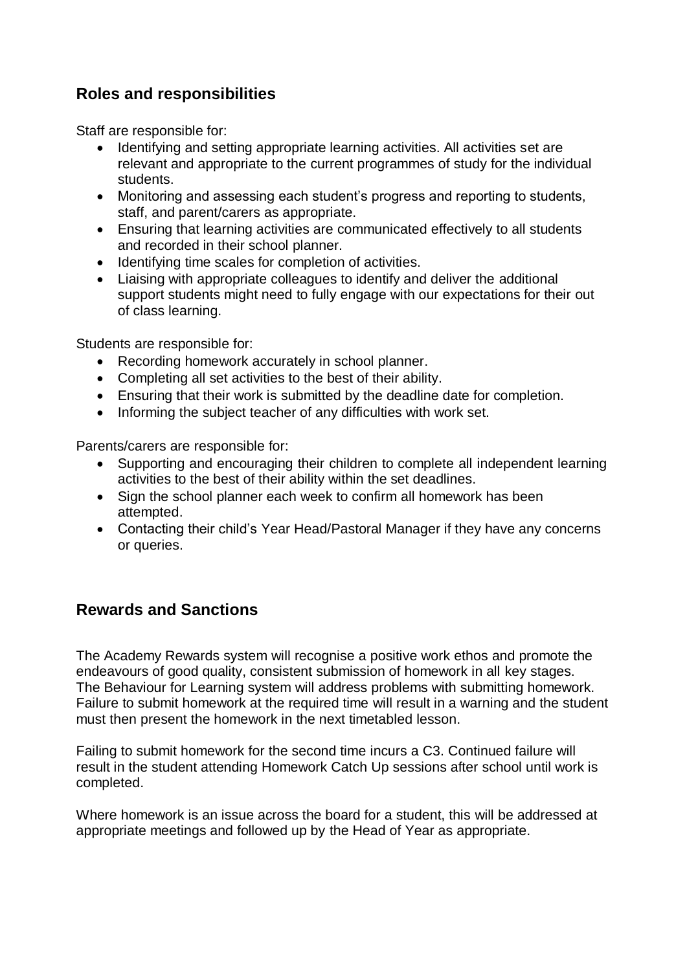## **Roles and responsibilities**

Staff are responsible for:

- Identifying and setting appropriate learning activities. All activities set are relevant and appropriate to the current programmes of study for the individual students.
- Monitoring and assessing each student's progress and reporting to students, staff, and parent/carers as appropriate.
- Ensuring that learning activities are communicated effectively to all students and recorded in their school planner.
- Identifying time scales for completion of activities.
- Liaising with appropriate colleagues to identify and deliver the additional support students might need to fully engage with our expectations for their out of class learning.

Students are responsible for:

- Recording homework accurately in school planner.
- Completing all set activities to the best of their ability.
- Ensuring that their work is submitted by the deadline date for completion.
- Informing the subject teacher of any difficulties with work set.

Parents/carers are responsible for:

- Supporting and encouraging their children to complete all independent learning activities to the best of their ability within the set deadlines.
- Sign the school planner each week to confirm all homework has been attempted.
- Contacting their child's Year Head/Pastoral Manager if they have any concerns or queries.

### **Rewards and Sanctions**

The Academy Rewards system will recognise a positive work ethos and promote the endeavours of good quality, consistent submission of homework in all key stages. The Behaviour for Learning system will address problems with submitting homework. Failure to submit homework at the required time will result in a warning and the student must then present the homework in the next timetabled lesson.

Failing to submit homework for the second time incurs a C3. Continued failure will result in the student attending Homework Catch Up sessions after school until work is completed.

Where homework is an issue across the board for a student, this will be addressed at appropriate meetings and followed up by the Head of Year as appropriate.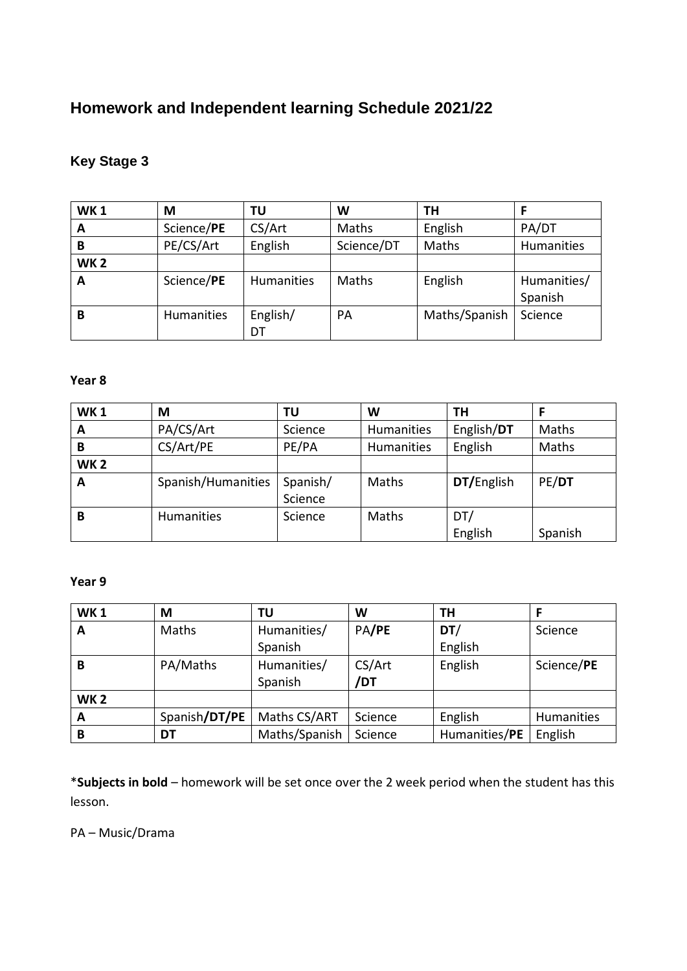# **Homework and Independent learning Schedule 2021/22**

### **Key Stage 3**

| <b>WK1</b> | M                 | ΤU         | W          | TН            |             |
|------------|-------------------|------------|------------|---------------|-------------|
| A          | Science/PE        | CS/Art     | Maths      | English       | PA/DT       |
| в          | PE/CS/Art         | English    | Science/DT | Maths         | Humanities  |
| <b>WK2</b> |                   |            |            |               |             |
| A          | Science/PE        | Humanities | Maths      | English       | Humanities/ |
|            |                   |            |            |               | Spanish     |
| В          | <b>Humanities</b> | English/   | PA         | Maths/Spanish | Science     |
|            |                   | DT         |            |               |             |

#### **Year 8**

| <b>WK1</b> | M                  | ΤU       | W          | TН         |         |
|------------|--------------------|----------|------------|------------|---------|
| A          | PA/CS/Art          | Science  | Humanities | English/DT | Maths   |
| В          | CS/Art/PE          | PE/PA    | Humanities | English    | Maths   |
| <b>WK2</b> |                    |          |            |            |         |
| A          | Spanish/Humanities | Spanish/ | Maths      | DT/English | PE/DT   |
|            |                    | Science  |            |            |         |
| В          | Humanities         | Science  | Maths      | DT/        |         |
|            |                    |          |            | English    | Spanish |

#### **Year 9**

| <b>WK1</b> | M             | ΤU            | W       | TΗ            |            |
|------------|---------------|---------------|---------|---------------|------------|
| A          | Maths         | Humanities/   | PA/PE   | DT/           | Science    |
|            |               | Spanish       |         | English       |            |
| В          | PA/Maths      | Humanities/   | CS/Art  | English       | Science/PE |
|            |               | Spanish       | /DT     |               |            |
| <b>WK2</b> |               |               |         |               |            |
| A          | Spanish/DT/PE | Maths CS/ART  | Science | English       | Humanities |
| В          | DT            | Maths/Spanish | Science | Humanities/PE | English    |

\***Subjects in bold** – homework will be set once over the 2 week period when the student has this lesson.

PA – Music/Drama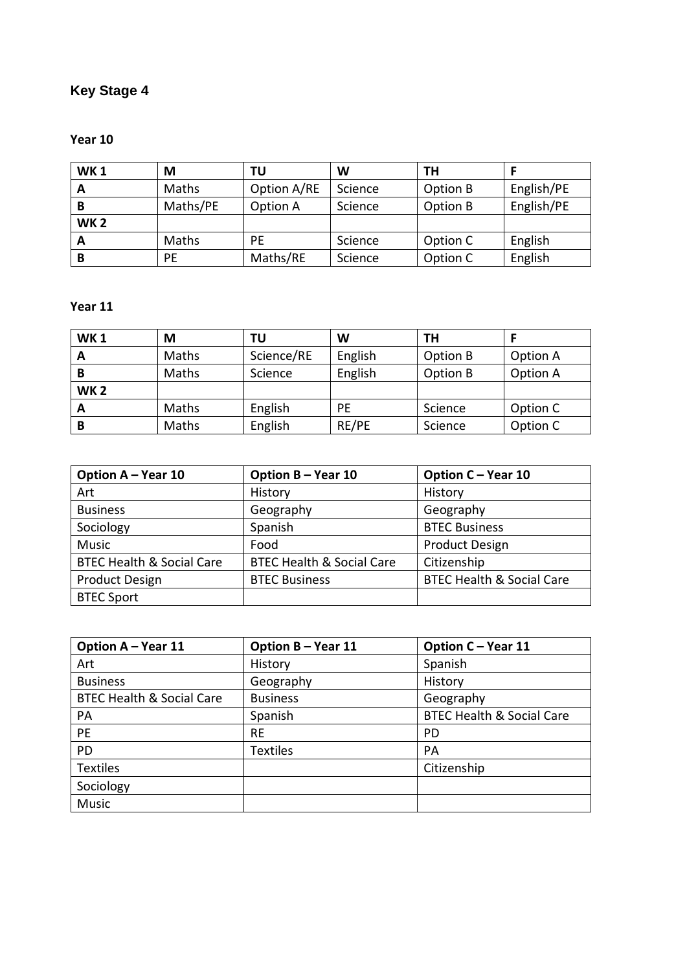# **Key Stage 4**

### **Year 10**

| <b>WK1</b> | М        | ΤU          | W       | ΤН       |            |
|------------|----------|-------------|---------|----------|------------|
| A          | Maths    | Option A/RE | Science | Option B | English/PE |
| B          | Maths/PE | Option A    | Science | Option B | English/PE |
| <b>WK2</b> |          |             |         |          |            |
| A          | Maths    | PE          | Science | Option C | English    |
| В          | PE       | Maths/RE    | Science | Option C | English    |

#### **Year 11**

| <b>WK1</b> | М     | ΤU         | W       | TН       |          |
|------------|-------|------------|---------|----------|----------|
| A          | Maths | Science/RE | English | Option B | Option A |
| В          | Maths | Science    | English | Option B | Option A |
| <b>WK2</b> |       |            |         |          |          |
| А          | Maths | English    | PE      | Science  | Option C |
| B          | Maths | English    | RE/PE   | Science  | Option C |

| Option A - Year 10                   | Option B - Year 10                   | Option C - Year 10                   |
|--------------------------------------|--------------------------------------|--------------------------------------|
| Art                                  | History                              | History                              |
| <b>Business</b>                      | Geography                            | Geography                            |
| Sociology                            | Spanish                              | <b>BTEC Business</b>                 |
| <b>Music</b>                         | Food                                 | <b>Product Design</b>                |
| <b>BTEC Health &amp; Social Care</b> | <b>BTEC Health &amp; Social Care</b> | Citizenship                          |
| <b>Product Design</b>                | <b>BTEC Business</b>                 | <b>BTEC Health &amp; Social Care</b> |
| <b>BTEC Sport</b>                    |                                      |                                      |

| Option A - Year 11                   | Option B - Year 11 | Option C - Year 11                   |
|--------------------------------------|--------------------|--------------------------------------|
| Art                                  | History            | Spanish                              |
| <b>Business</b>                      | Geography          | History                              |
| <b>BTEC Health &amp; Social Care</b> | <b>Business</b>    | Geography                            |
| PA                                   | Spanish            | <b>BTEC Health &amp; Social Care</b> |
| <b>PE</b>                            | <b>RE</b>          | PD.                                  |
| PD                                   | <b>Textiles</b>    | <b>PA</b>                            |
| <b>Textiles</b>                      |                    | Citizenship                          |
| Sociology                            |                    |                                      |
| Music                                |                    |                                      |